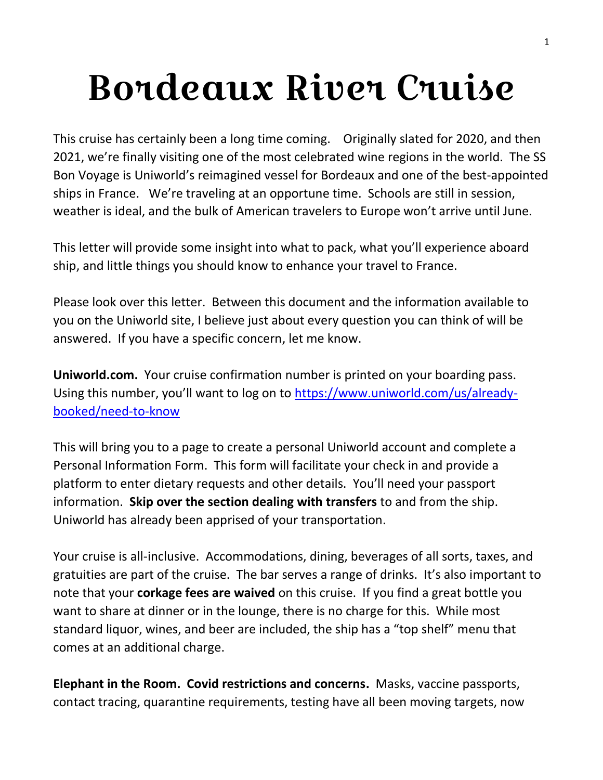# Bordeaux River Cruise

This cruise has certainly been a long time coming. Originally slated for 2020, and then 2021, we're finally visiting one of the most celebrated wine regions in the world. The SS Bon Voyage is Uniworld's reimagined vessel for Bordeaux and one of the best-appointed ships in France. We're traveling at an opportune time. Schools are still in session, weather is ideal, and the bulk of American travelers to Europe won't arrive until June.

This letter will provide some insight into what to pack, what you'll experience aboard ship, and little things you should know to enhance your travel to France.

Please look over this letter. Between this document and the information available to you on the Uniworld site, I believe just about every question you can think of will be answered. If you have a specific concern, let me know.

**Uniworld.com.** Your cruise confirmation number is printed on your boarding pass. Using this number, you'll want to log on to [https://www.uniworld.com/us/already](https://www.uniworld.com/us/already-booked/need-to-know)[booked/need-to-know](https://www.uniworld.com/us/already-booked/need-to-know)

This will bring you to a page to create a personal Uniworld account and complete a Personal Information Form. This form will facilitate your check in and provide a platform to enter dietary requests and other details. You'll need your passport information. **Skip over the section dealing with transfers** to and from the ship. Uniworld has already been apprised of your transportation.

Your cruise is all-inclusive. Accommodations, dining, beverages of all sorts, taxes, and gratuities are part of the cruise. The bar serves a range of drinks. It's also important to note that your **corkage fees are waived** on this cruise. If you find a great bottle you want to share at dinner or in the lounge, there is no charge for this. While most standard liquor, wines, and beer are included, the ship has a "top shelf" menu that comes at an additional charge.

**Elephant in the Room. Covid restrictions and concerns.** Masks, vaccine passports, contact tracing, quarantine requirements, testing have all been moving targets, now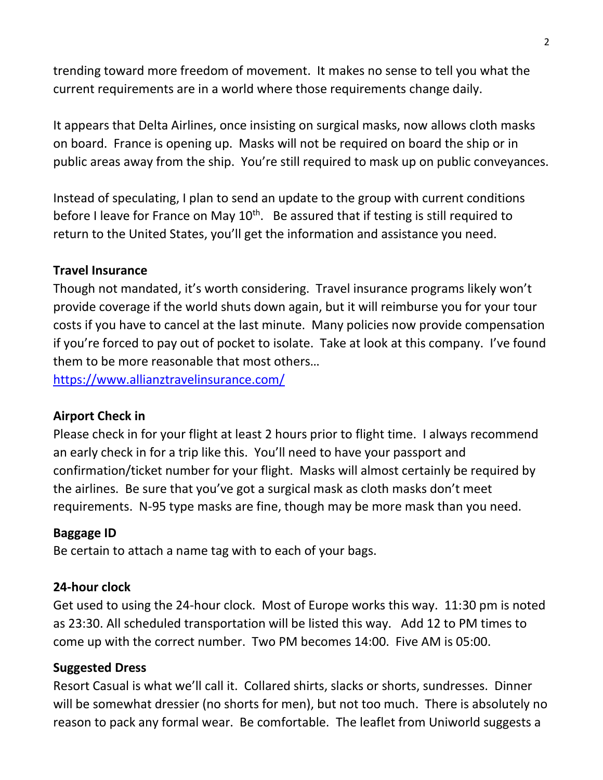trending toward more freedom of movement. It makes no sense to tell you what the current requirements are in a world where those requirements change daily.

It appears that Delta Airlines, once insisting on surgical masks, now allows cloth masks on board. France is opening up. Masks will not be required on board the ship or in public areas away from the ship. You're still required to mask up on public conveyances.

Instead of speculating, I plan to send an update to the group with current conditions before I leave for France on May 10<sup>th</sup>. Be assured that if testing is still required to return to the United States, you'll get the information and assistance you need.

#### **Travel Insurance**

Though not mandated, it's worth considering. Travel insurance programs likely won't provide coverage if the world shuts down again, but it will reimburse you for your tour costs if you have to cancel at the last minute. Many policies now provide compensation if you're forced to pay out of pocket to isolate. Take at look at this company. I've found them to be more reasonable that most others…

<https://www.allianztravelinsurance.com/>

## **Airport Check in**

Please check in for your flight at least 2 hours prior to flight time. I always recommend an early check in for a trip like this. You'll need to have your passport and confirmation/ticket number for your flight. Masks will almost certainly be required by the airlines. Be sure that you've got a surgical mask as cloth masks don't meet requirements. N-95 type masks are fine, though may be more mask than you need.

## **Baggage ID**

Be certain to attach a name tag with to each of your bags.

#### **24-hour clock**

Get used to using the 24-hour clock. Most of Europe works this way. 11:30 pm is noted as 23:30. All scheduled transportation will be listed this way. Add 12 to PM times to come up with the correct number. Two PM becomes 14:00. Five AM is 05:00.

#### **Suggested Dress**

Resort Casual is what we'll call it. Collared shirts, slacks or shorts, sundresses. Dinner will be somewhat dressier (no shorts for men), but not too much. There is absolutely no reason to pack any formal wear. Be comfortable. The leaflet from Uniworld suggests a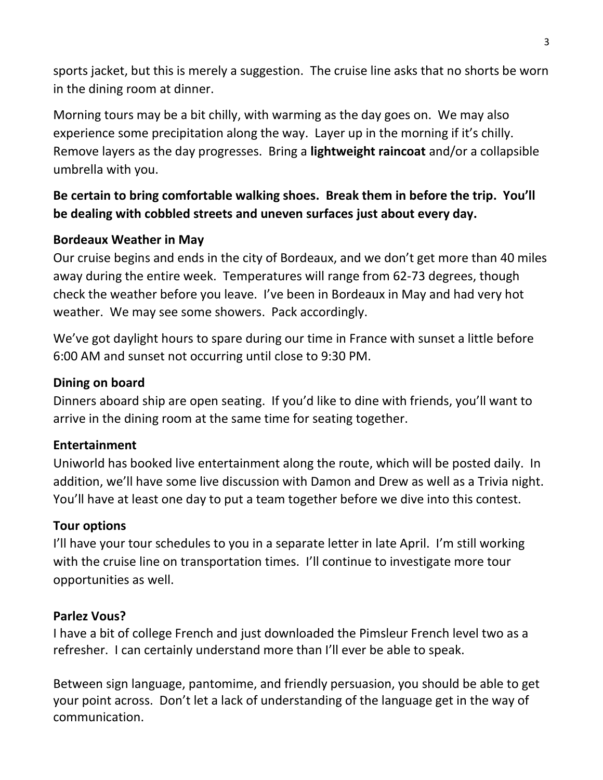sports jacket, but this is merely a suggestion. The cruise line asks that no shorts be worn in the dining room at dinner.

Morning tours may be a bit chilly, with warming as the day goes on. We may also experience some precipitation along the way. Layer up in the morning if it's chilly. Remove layers as the day progresses. Bring a **lightweight raincoat** and/or a collapsible umbrella with you.

# **Be certain to bring comfortable walking shoes. Break them in before the trip. You'll be dealing with cobbled streets and uneven surfaces just about every day.**

# **Bordeaux Weather in May**

Our cruise begins and ends in the city of Bordeaux, and we don't get more than 40 miles away during the entire week. Temperatures will range from 62-73 degrees, though check the weather before you leave. I've been in Bordeaux in May and had very hot weather. We may see some showers. Pack accordingly.

We've got daylight hours to spare during our time in France with sunset a little before 6:00 AM and sunset not occurring until close to 9:30 PM.

#### **Dining on board**

Dinners aboard ship are open seating. If you'd like to dine with friends, you'll want to arrive in the dining room at the same time for seating together.

## **Entertainment**

Uniworld has booked live entertainment along the route, which will be posted daily. In addition, we'll have some live discussion with Damon and Drew as well as a Trivia night. You'll have at least one day to put a team together before we dive into this contest.

#### **Tour options**

I'll have your tour schedules to you in a separate letter in late April. I'm still working with the cruise line on transportation times. I'll continue to investigate more tour opportunities as well.

#### **Parlez Vous?**

I have a bit of college French and just downloaded the Pimsleur French level two as a refresher. I can certainly understand more than I'll ever be able to speak.

Between sign language, pantomime, and friendly persuasion, you should be able to get your point across. Don't let a lack of understanding of the language get in the way of communication.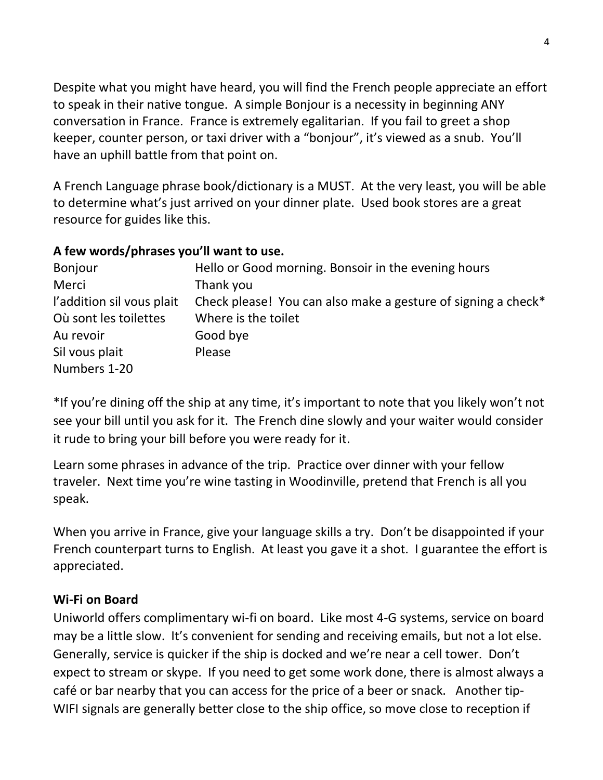Despite what you might have heard, you will find the French people appreciate an effort to speak in their native tongue. A simple Bonjour is a necessity in beginning ANY conversation in France. France is extremely egalitarian. If you fail to greet a shop keeper, counter person, or taxi driver with a "bonjour", it's viewed as a snub. You'll have an uphill battle from that point on.

A French Language phrase book/dictionary is a MUST. At the very least, you will be able to determine what's just arrived on your dinner plate. Used book stores are a great resource for guides like this.

#### **A few words/phrases you'll want to use.**

| Bonjour                   | Hello or Good morning. Bonsoir in the evening hours           |
|---------------------------|---------------------------------------------------------------|
| Merci                     | Thank you                                                     |
| l'addition sil vous plait | Check please! You can also make a gesture of signing a check* |
| Où sont les toilettes     | Where is the toilet                                           |
| Au revoir                 | Good bye                                                      |
| Sil vous plait            | Please                                                        |
| Numbers 1-20              |                                                               |

\*If you're dining off the ship at any time, it's important to note that you likely won't not see your bill until you ask for it. The French dine slowly and your waiter would consider it rude to bring your bill before you were ready for it.

Learn some phrases in advance of the trip. Practice over dinner with your fellow traveler. Next time you're wine tasting in Woodinville, pretend that French is all you speak.

When you arrive in France, give your language skills a try. Don't be disappointed if your French counterpart turns to English. At least you gave it a shot. I guarantee the effort is appreciated.

## **Wi-Fi on Board**

Uniworld offers complimentary wi-fi on board. Like most 4-G systems, service on board may be a little slow. It's convenient for sending and receiving emails, but not a lot else. Generally, service is quicker if the ship is docked and we're near a cell tower. Don't expect to stream or skype. If you need to get some work done, there is almost always a café or bar nearby that you can access for the price of a beer or snack. Another tip-WIFI signals are generally better close to the ship office, so move close to reception if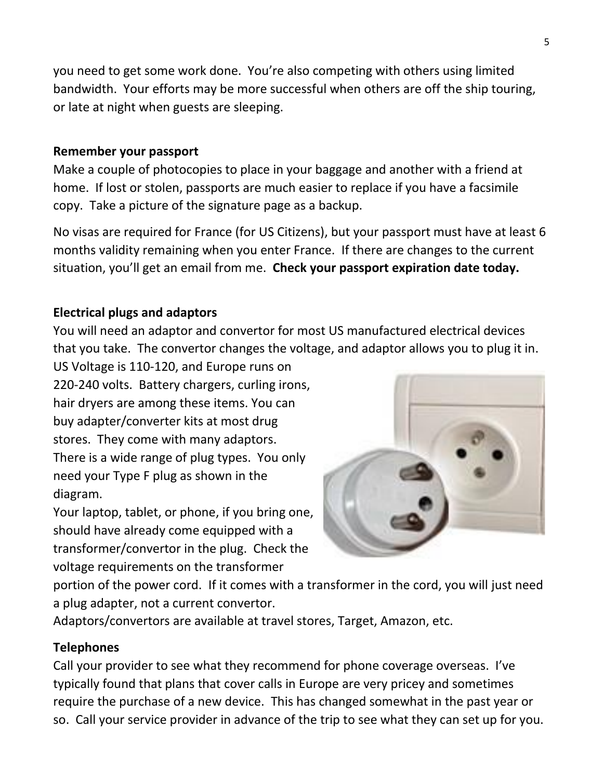you need to get some work done. You're also competing with others using limited bandwidth. Your efforts may be more successful when others are off the ship touring, or late at night when guests are sleeping.

## **Remember your passport**

Make a couple of photocopies to place in your baggage and another with a friend at home. If lost or stolen, passports are much easier to replace if you have a facsimile copy. Take a picture of the signature page as a backup.

No visas are required for France (for US Citizens), but your passport must have at least 6 months validity remaining when you enter France. If there are changes to the current situation, you'll get an email from me. **Check your passport expiration date today.**

# **Electrical plugs and adaptors**

You will need an adaptor and convertor for most US manufactured electrical devices that you take. The convertor changes the voltage, and adaptor allows you to plug it in.

US Voltage is 110-120, and Europe runs on 220-240 volts. Battery chargers, curling irons, hair dryers are among these items. You can buy adapter/converter kits at most drug stores. They come with many adaptors. There is a wide range of plug types. You only need your Type F plug as shown in the diagram.

Your laptop, tablet, or phone, if you bring one, should have already come equipped with a transformer/convertor in the plug. Check the voltage requirements on the transformer



portion of the power cord. If it comes with a transformer in the cord, you will just need a plug adapter, not a current convertor.

Adaptors/convertors are available at travel stores, Target, Amazon, etc.

## **Telephones**

Call your provider to see what they recommend for phone coverage overseas. I've typically found that plans that cover calls in Europe are very pricey and sometimes require the purchase of a new device. This has changed somewhat in the past year or so. Call your service provider in advance of the trip to see what they can set up for you.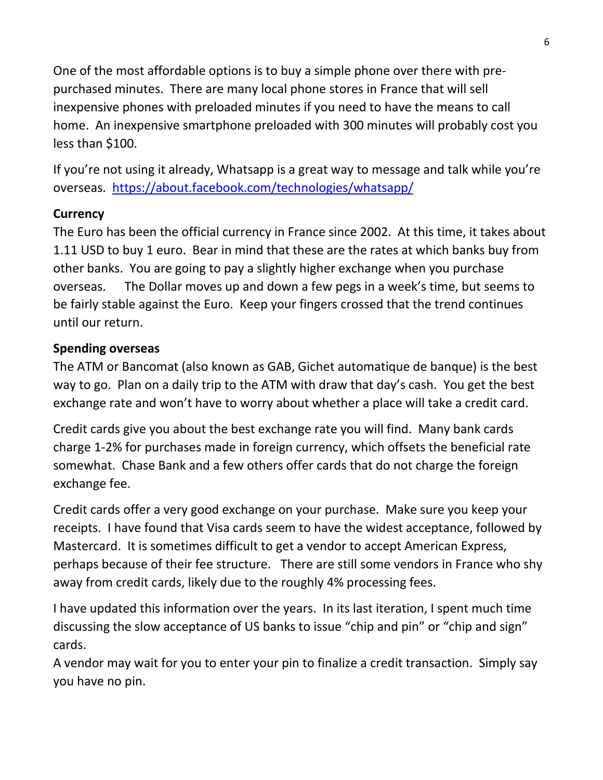One of the most affordable options is to buy a simple phone over there with prepurchased minutes. There are many local phone stores in France that will sell inexpensive phones with preloaded minutes if you need to have the means to call home. An inexpensive smartphone preloaded with 300 minutes will probably cost you less than \$100.

If you're not using it already, Whatsapp is a great way to message and talk while you're overseas. <https://about.facebook.com/technologies/whatsapp/>

## **Currency**

The Euro has been the official currency in France since 2002. At this time, it takes about 1.11 USD to buy 1 euro. Bear in mind that these are the rates at which banks buy from other banks. You are going to pay a slightly higher exchange when you purchase overseas. The Dollar moves up and down a few pegs in a week's time, but seems to be fairly stable against the Euro. Keep your fingers crossed that the trend continues until our return.

## **Spending overseas**

The ATM or Bancomat (also known as GAB, Gichet automatique de banque) is the best way to go. Plan on a daily trip to the ATM with draw that day's cash. You get the best exchange rate and won't have to worry about whether a place will take a credit card.

Credit cards give you about the best exchange rate you will find. Many bank cards charge 1-2% for purchases made in foreign currency, which offsets the beneficial rate somewhat. Chase Bank and a few others offer cards that do not charge the foreign exchange fee.

Credit cards offer a very good exchange on your purchase. Make sure you keep your receipts. I have found that Visa cards seem to have the widest acceptance, followed by Mastercard. It is sometimes difficult to get a vendor to accept American Express, perhaps because of their fee structure. There are still some vendors in France who shy away from credit cards, likely due to the roughly 4% processing fees.

I have updated this information over the years. In its last iteration, I spent much time discussing the slow acceptance of US banks to issue "chip and pin" or "chip and sign" cards.

A vendor may wait for you to enter your pin to finalize a credit transaction. Simply say you have no pin.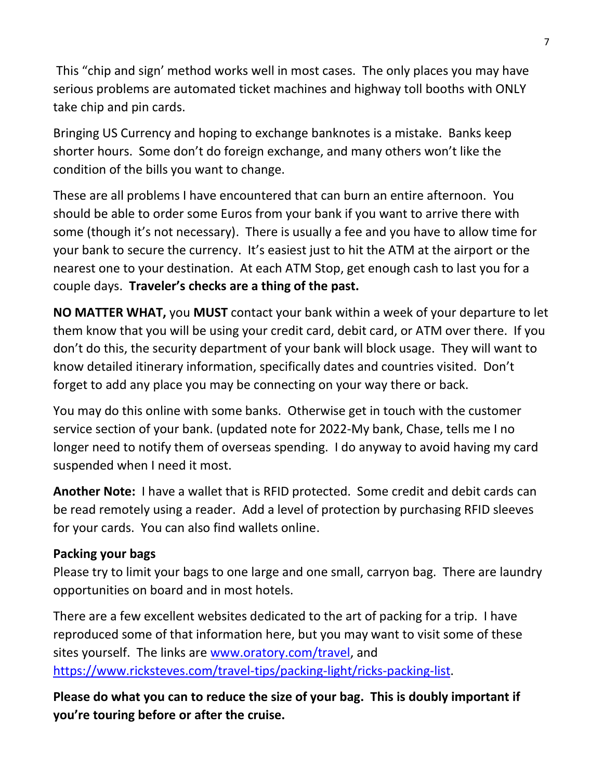This "chip and sign' method works well in most cases. The only places you may have serious problems are automated ticket machines and highway toll booths with ONLY take chip and pin cards.

Bringing US Currency and hoping to exchange banknotes is a mistake. Banks keep shorter hours. Some don't do foreign exchange, and many others won't like the condition of the bills you want to change.

These are all problems I have encountered that can burn an entire afternoon. You should be able to order some Euros from your bank if you want to arrive there with some (though it's not necessary). There is usually a fee and you have to allow time for your bank to secure the currency. It's easiest just to hit the ATM at the airport or the nearest one to your destination. At each ATM Stop, get enough cash to last you for a couple days. **Traveler's checks are a thing of the past.** 

**NO MATTER WHAT,** you **MUST** contact your bank within a week of your departure to let them know that you will be using your credit card, debit card, or ATM over there. If you don't do this, the security department of your bank will block usage. They will want to know detailed itinerary information, specifically dates and countries visited. Don't forget to add any place you may be connecting on your way there or back.

You may do this online with some banks. Otherwise get in touch with the customer service section of your bank. (updated note for 2022-My bank, Chase, tells me I no longer need to notify them of overseas spending. I do anyway to avoid having my card suspended when I need it most.

**Another Note:** I have a wallet that is RFID protected. Some credit and debit cards can be read remotely using a reader. Add a level of protection by purchasing RFID sleeves for your cards. You can also find wallets online.

## **Packing your bags**

Please try to limit your bags to one large and one small, carryon bag. There are laundry opportunities on board and in most hotels.

There are a few excellent websites dedicated to the art of packing for a trip. I have reproduced some of that information here, but you may want to visit some of these sites yourself. The links are [www.oratory.com/travel,](http://www.oratory.com/travel) and [https://www.ricksteves.com/travel-tips/packing-light/ricks-packing-list.](https://www.ricksteves.com/travel-tips/packing-light/ricks-packing-list)

**Please do what you can to reduce the size of your bag. This is doubly important if you're touring before or after the cruise.**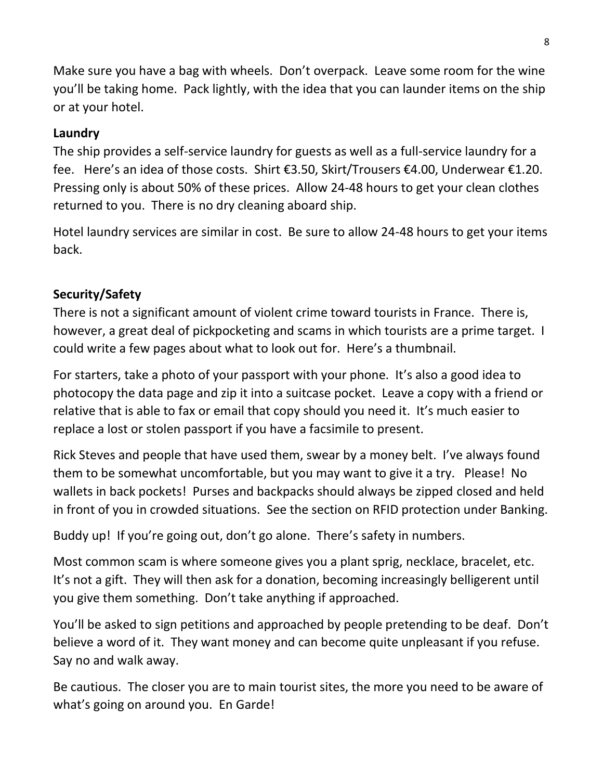Make sure you have a bag with wheels. Don't overpack. Leave some room for the wine you'll be taking home. Pack lightly, with the idea that you can launder items on the ship or at your hotel.

## **Laundry**

The ship provides a self-service laundry for guests as well as a full-service laundry for a fee. Here's an idea of those costs. Shirt €3.50, Skirt/Trousers €4.00, Underwear €1.20. Pressing only is about 50% of these prices. Allow 24-48 hours to get your clean clothes returned to you. There is no dry cleaning aboard ship.

Hotel laundry services are similar in cost. Be sure to allow 24-48 hours to get your items back.

# **Security/Safety**

There is not a significant amount of violent crime toward tourists in France. There is, however, a great deal of pickpocketing and scams in which tourists are a prime target. I could write a few pages about what to look out for. Here's a thumbnail.

For starters, take a photo of your passport with your phone. It's also a good idea to photocopy the data page and zip it into a suitcase pocket. Leave a copy with a friend or relative that is able to fax or email that copy should you need it. It's much easier to replace a lost or stolen passport if you have a facsimile to present.

Rick Steves and people that have used them, swear by a money belt. I've always found them to be somewhat uncomfortable, but you may want to give it a try. Please! No wallets in back pockets! Purses and backpacks should always be zipped closed and held in front of you in crowded situations. See the section on RFID protection under Banking.

Buddy up! If you're going out, don't go alone. There's safety in numbers.

Most common scam is where someone gives you a plant sprig, necklace, bracelet, etc. It's not a gift. They will then ask for a donation, becoming increasingly belligerent until you give them something. Don't take anything if approached.

You'll be asked to sign petitions and approached by people pretending to be deaf. Don't believe a word of it. They want money and can become quite unpleasant if you refuse. Say no and walk away.

Be cautious. The closer you are to main tourist sites, the more you need to be aware of what's going on around you. En Garde!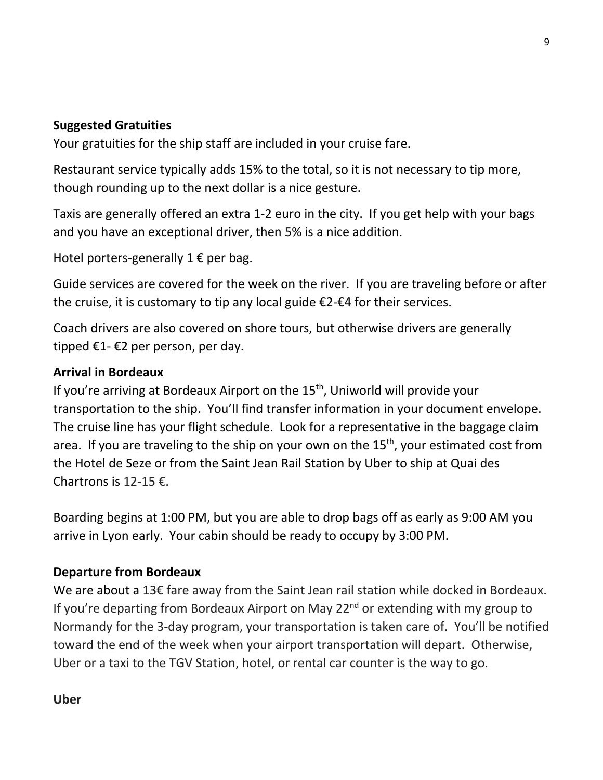## **Suggested Gratuities**

Your gratuities for the ship staff are included in your cruise fare.

Restaurant service typically adds 15% to the total, so it is not necessary to tip more, though rounding up to the next dollar is a nice gesture.

Taxis are generally offered an extra 1-2 euro in the city. If you get help with your bags and you have an exceptional driver, then 5% is a nice addition.

Hotel porters-generally  $1 \notin$  per bag.

Guide services are covered for the week on the river. If you are traveling before or after the cruise, it is customary to tip any local guide €2-€4 for their services.

Coach drivers are also covered on shore tours, but otherwise drivers are generally tipped €1- €2 per person, per day.

#### **Arrival in Bordeaux**

If you're arriving at Bordeaux Airport on the 15<sup>th</sup>, Uniworld will provide your transportation to the ship. You'll find transfer information in your document envelope. The cruise line has your flight schedule. Look for a representative in the baggage claim area. If you are traveling to the ship on your own on the  $15<sup>th</sup>$ , your estimated cost from the Hotel de Seze or from the Saint Jean Rail Station by Uber to ship at Quai des Chartrons is 12-15  $\epsilon$ .

Boarding begins at 1:00 PM, but you are able to drop bags off as early as 9:00 AM you arrive in Lyon early. Your cabin should be ready to occupy by 3:00 PM.

## **Departure from Bordeaux**

We are about a 13€ fare away from the Saint Jean rail station while docked in Bordeaux. If you're departing from Bordeaux Airport on May 22<sup>nd</sup> or extending with my group to Normandy for the 3-day program, your transportation is taken care of. You'll be notified toward the end of the week when your airport transportation will depart. Otherwise, Uber or a taxi to the TGV Station, hotel, or rental car counter is the way to go.

#### **Uber**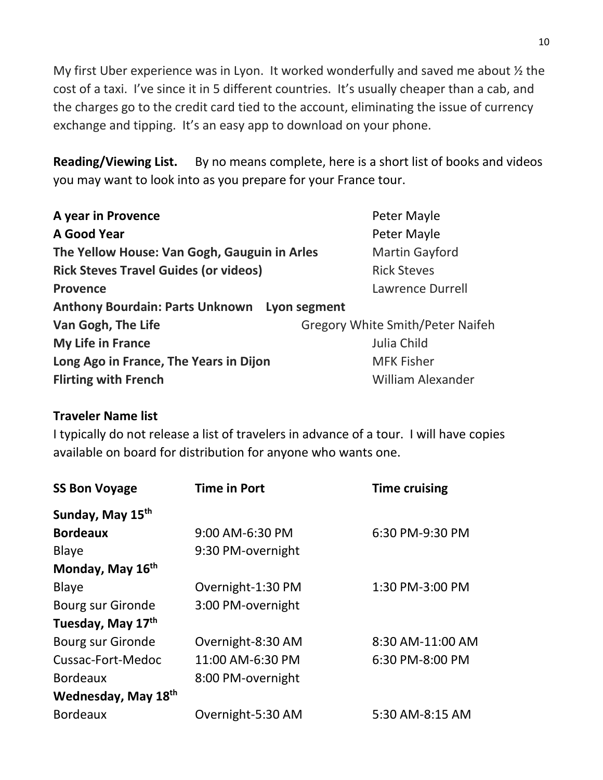My first Uber experience was in Lyon. It worked wonderfully and saved me about ½ the cost of a taxi. I've since it in 5 different countries. It's usually cheaper than a cab, and the charges go to the credit card tied to the account, eliminating the issue of currency exchange and tipping. It's an easy app to download on your phone.

**Reading/Viewing List.** By no means complete, here is a short list of books and videos you may want to look into as you prepare for your France tour.

| A year in Provence                           | Peter Mayle                             |
|----------------------------------------------|-----------------------------------------|
| <b>A Good Year</b>                           | Peter Mayle                             |
| The Yellow House: Van Gogh, Gauguin in Arles | <b>Martin Gayford</b>                   |
| <b>Rick Steves Travel Guides (or videos)</b> | <b>Rick Steves</b>                      |
| <b>Provence</b>                              | Lawrence Durrell                        |
| Anthony Bourdain: Parts Unknown Lyon segment |                                         |
| <b>Van Gogh, The Life</b>                    | <b>Gregory White Smith/Peter Naifeh</b> |
| <b>My Life in France</b>                     | Julia Child                             |
| Long Ago in France, The Years in Dijon       | <b>MFK Fisher</b>                       |
| <b>Flirting with French</b>                  | <b>William Alexander</b>                |

#### **Traveler Name list**

I typically do not release a list of travelers in advance of a tour. I will have copies available on board for distribution for anyone who wants one.

| <b>SS Bon Voyage</b>         | <b>Time in Port</b> | <b>Time cruising</b> |
|------------------------------|---------------------|----------------------|
| Sunday, May 15th             |                     |                      |
| <b>Bordeaux</b>              | 9:00 AM-6:30 PM     | 6:30 PM-9:30 PM      |
| <b>Blaye</b>                 | 9:30 PM-overnight   |                      |
| Monday, May 16 <sup>th</sup> |                     |                      |
| <b>Blaye</b>                 | Overnight-1:30 PM   | 1:30 PM-3:00 PM      |
| Bourg sur Gironde            | 3:00 PM-overnight   |                      |
| Tuesday, May 17th            |                     |                      |
| Bourg sur Gironde            | Overnight-8:30 AM   | 8:30 AM-11:00 AM     |
| Cussac-Fort-Medoc            | 11:00 AM-6:30 PM    | 6:30 PM-8:00 PM      |
| <b>Bordeaux</b>              | 8:00 PM-overnight   |                      |
| Wednesday, May 18th          |                     |                      |
| <b>Bordeaux</b>              | Overnight-5:30 AM   | 5:30 AM-8:15 AM      |